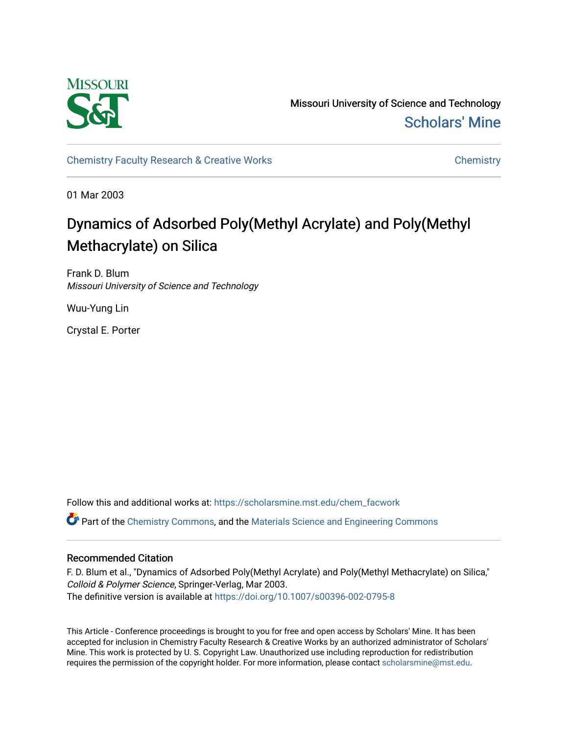

Missouri University of Science and Technology [Scholars' Mine](https://scholarsmine.mst.edu/) 

[Chemistry Faculty Research & Creative Works](https://scholarsmine.mst.edu/chem_facwork) [Chemistry](https://scholarsmine.mst.edu/chem) Chemistry

01 Mar 2003

# Dynamics of Adsorbed Poly(Methyl Acrylate) and Poly(Methyl Methacrylate) on Silica

Frank D. Blum Missouri University of Science and Technology

Wuu-Yung Lin

Crystal E. Porter

Follow this and additional works at: [https://scholarsmine.mst.edu/chem\\_facwork](https://scholarsmine.mst.edu/chem_facwork?utm_source=scholarsmine.mst.edu%2Fchem_facwork%2F2402&utm_medium=PDF&utm_campaign=PDFCoverPages)

 $\bullet$  Part of the [Chemistry Commons,](http://network.bepress.com/hgg/discipline/131?utm_source=scholarsmine.mst.edu%2Fchem_facwork%2F2402&utm_medium=PDF&utm_campaign=PDFCoverPages) and the [Materials Science and Engineering Commons](http://network.bepress.com/hgg/discipline/285?utm_source=scholarsmine.mst.edu%2Fchem_facwork%2F2402&utm_medium=PDF&utm_campaign=PDFCoverPages)

# Recommended Citation

F. D. Blum et al., "Dynamics of Adsorbed Poly(Methyl Acrylate) and Poly(Methyl Methacrylate) on Silica," Colloid & Polymer Science, Springer-Verlag, Mar 2003. The definitive version is available at <https://doi.org/10.1007/s00396-002-0795-8>

This Article - Conference proceedings is brought to you for free and open access by Scholars' Mine. It has been accepted for inclusion in Chemistry Faculty Research & Creative Works by an authorized administrator of Scholars' Mine. This work is protected by U. S. Copyright Law. Unauthorized use including reproduction for redistribution requires the permission of the copyright holder. For more information, please contact [scholarsmine@mst.edu.](mailto:scholarsmine@mst.edu)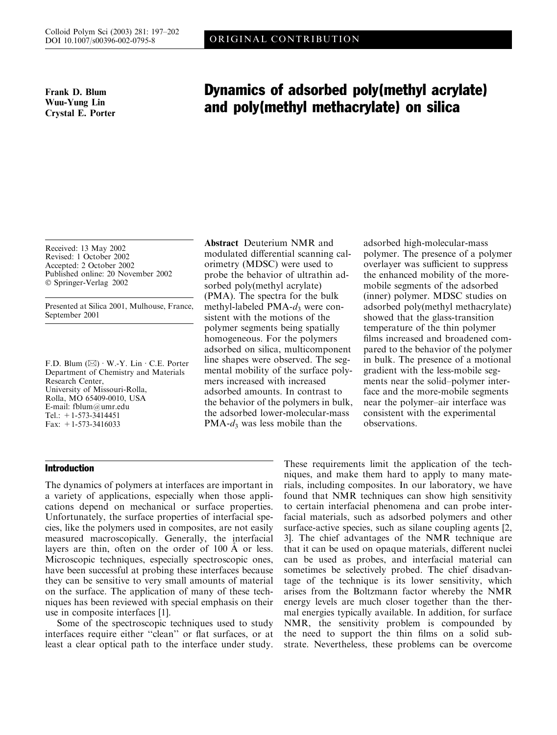Frank D. Blum Wuu-Yung Lin Crystal E. Porter

# Dynamics of adsorbed poly(methyl acrylate) and poly(methyl methacrylate) on silica

Received: 13 May 2002 Revised: 1 October 2002 Accepted: 2 October 2002 Published online: 20 November 2002 Springer-Verlag 2002

Presented at Silica 2001, Mulhouse, France, September 2001

F.D. Blum  $(\boxtimes) \cdot W.-Y$ . Lin  $\cdot$  C.E. Porter Department of Chemistry and Materials Research Center, University of Missouri-Rolla, Rolla, MO 65409-0010, USA E-mail: fblum@umr.edu Tel.:  $+1-573-3414451$ Fax: +1-573-3416033

## Introduction

modulated differential scanning calorimetry (MDSC) were used to probe the behavior of ultrathin adsorbed poly(methyl acrylate) (PMA). The spectra for the bulk methyl-labeled  $PMA-d_3$  were consistent with the motions of the polymer segments being spatially homogeneous. For the polymers adsorbed on silica, multicomponent line shapes were observed. The segmental mobility of the surface polymers increased with increased adsorbed amounts. In contrast to the behavior of the polymers in bulk, the adsorbed lower-molecular-mass PMA- $d_3$  was less mobile than the

Abstract Deuterium NMR and

adsorbed high-molecular-mass polymer. The presence of a polymer overlayer was sufficient to suppress the enhanced mobility of the moremobile segments of the adsorbed (inner) polymer. MDSC studies on adsorbed poly(methyl methacrylate) showed that the glass-transition temperature of the thin polymer films increased and broadened compared to the behavior of the polymer in bulk. The presence of a motional gradient with the less-mobile segments near the solid–polymer interface and the more-mobile segments near the polymer–air interface was consistent with the experimental observations.

The dynamics of polymers at interfaces are important in a variety of applications, especially when those applications depend on mechanical or surface properties. Unfortunately, the surface properties of interfacial species, like the polymers used in composites, are not easily measured macroscopically. Generally, the interfacial layers are thin, often on the order of  $100 \text{ Å}$  or less. Microscopic techniques, especially spectroscopic ones, have been successful at probing these interfaces because they can be sensitive to very small amounts of material on the surface. The application of many of these techniques has been reviewed with special emphasis on their use in composite interfaces [1].

Some of the spectroscopic techniques used to study interfaces require either ''clean'' or flat surfaces, or at least a clear optical path to the interface under study. These requirements limit the application of the techniques, and make them hard to apply to many materials, including composites. In our laboratory, we have found that NMR techniques can show high sensitivity to certain interfacial phenomena and can probe interfacial materials, such as adsorbed polymers and other surface-active species, such as silane coupling agents [2, 3]. The chief advantages of the NMR technique are that it can be used on opaque materials, different nuclei can be used as probes, and interfacial material can sometimes be selectively probed. The chief disadvantage of the technique is its lower sensitivity, which arises from the Boltzmann factor whereby the NMR energy levels are much closer together than the thermal energies typically available. In addition, for surface NMR, the sensitivity problem is compounded by the need to support the thin films on a solid substrate. Nevertheless, these problems can be overcome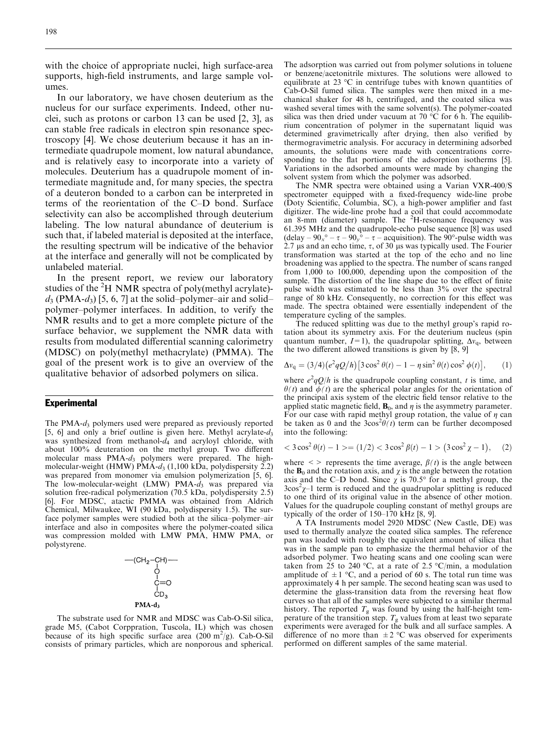with the choice of appropriate nuclei, high surface-area supports, high-field instruments, and large sample volumes.

In our laboratory, we have chosen deuterium as the nucleus for our surface experiments. Indeed, other nuclei, such as protons or carbon 13 can be used [2, 3], as can stable free radicals in electron spin resonance spectroscopy [4]. We chose deuterium because it has an intermediate quadrupole moment, low natural abundance, and is relatively easy to incorporate into a variety of molecules. Deuterium has a quadrupole moment of intermediate magnitude and, for many species, the spectra of a deuteron bonded to a carbon can be interpreted in terms of the reorientation of the C–D bond. Surface selectivity can also be accomplished through deuterium labeling. The low natural abundance of deuterium is such that, if labeled material is deposited at the interface, the resulting spectrum will be indicative of the behavior at the interface and generally will not be complicated by unlabeled material.

In the present report, we review our laboratory studies of the  ${}^{2}H$  NMR spectra of poly(methyl acrylate) $d_3$  (PMA- $d_3$ ) [5, 6, 7] at the solid–polymer–air and solid– polymer–polymer interfaces. In addition, to verify the NMR results and to get a more complete picture of the surface behavior, we supplement the NMR data with results from modulated differential scanning calorimetry (MDSC) on poly(methyl methacrylate) (PMMA). The goal of the present work is to give an overview of the qualitative behavior of adsorbed polymers on silica.

#### **Experimental**

The PMA- $d_3$  polymers used were prepared as previously reported [5, 6] and only a brief outline is given here. Methyl acrylate- $d_3$ was synthesized from methanol- $d_4$  and acryloyl chloride, with about 100% deuteration on the methyl group. Two different molecular mass  $PMA-d_3$  polymers were prepared. The highmolecular-weight (HMW) PMA- $d_3$  (1,100 kDa, polydispersity 2.2) was prepared from monomer via emulsion polymerization [5, 6]. The low-molecular-weight (LMW) PMA- $d_3$  was prepared via solution free-radical polymerization (70.5 kDa, polydispersity 2.5) [6]. For MDSC, atactic PMMA was obtained from Aldrich Chemical, Milwaukee, WI (90 kDa, polydispersity 1.5). The surface polymer samples were studied both at the silica–polymer–air interface and also in composites where the polymer-coated silica was compression molded with LMW PMA, HMW PMA, or polystyrene.

$$
-(CH2-CH) \n |\n |\nC=O\n |\nCD3\nPMA-d3
$$

The substrate used for NMR and MDSC was Cab-O-Sil silica, grade M5, (Cabot Corppration, Tuscola, IL) which was chosen because of its high specific surface area  $(200 \text{ m}^2/\text{g})$ . Cab-O-Sil consists of primary particles, which are nonporous and spherical. The adsorption was carried out from polymer solutions in toluene or benzene/acetonitrile mixtures. The solutions were allowed to equilibrate at 23  $\degree$ C in centrifuge tubes with known quantities of Cab-O-Sil fumed silica. The samples were then mixed in a mechanical shaker for 48 h, centrifuged, and the coated silica was washed several times with the same solvent(s). The polymer-coated silica was then dried under vacuum at 70  $\degree$ C for 6 h. The equilibrium concentration of polymer in the supernatant liquid was determined gravimetrically after drying, then also verified by thermogravimetric analysis. For accuracy in determining adsorbed amounts, the solutions were made with concentrations corresponding to the flat portions of the adsorption isotherms [5]. Variations in the adsorbed amounts were made by changing the solvent system from which the polymer was adsorbed.

The NMR spectra were obtained using a Varian VXR-400/S spectrometer equipped with a fixed-frequency wide-line probe (Doty Scientific, Columbia, SC), a high-power amplifier and fast digitizer. The wide-line probe had a coil that could accommodate<br>an 8-mm (diameter) sample. The <sup>2</sup>H-resonance frequency was 61.395 MHz and the quadrupole-echo pulse sequence [8] was used (delay  $-90_x^{\circ} - \tau - 90_y^{\circ} - \tau -$  acquisition). The 90°-pulse width was  $2.7 \text{ }\mu\text{s}$  and an echo time,  $\tau$ , of 30  $\mu\text{s}$  was typically used. The Fourier transformation was started at the top of the echo and no line broadening was applied to the spectra. The number of scans ranged from 1,000 to 100,000, depending upon the composition of the sample. The distortion of the line shape due to the effect of finite pulse width was estimated to be less than 3% over the spectral range of 80 kHz. Consequently, no correction for this effect was made. The spectra obtained were essentially independent of the temperature cycling of the samples.

The reduced splitting was due to the methyl group's rapid rotation about its symmetry axis. For the deuterium nucleus (spin quantum number,  $I=1$ ), the quadrupolar splitting,  $\Delta v_{\rm q}$ , between the two different allowed transitions is given by [8, 9]

$$
\Delta v_{\rm q} = (3/4) \left( e^2 q Q / h \right) \left[ 3 \cos^2 \theta(t) - 1 - \eta \sin^2 \theta(t) \cos^2 \phi(t) \right], \qquad (1)
$$

where  $e^2 qQ/h$  is the quadrupole coupling constant, t is time, and  $\theta(t)$  and  $\phi(t)$  are the spherical polar angles for the orientation of the principal axis system of the electric field tensor relative to the applied static magnetic field,  $\mathbf{B}_0$ , and  $\eta$  is the asymmetry parameter. For our case with rapid methyl group rotation, the value of  $\eta$  can be taken as 0 and the  $3\cos^2\theta(t)$  term can be further decomposed into the following:

$$
<3\cos^2\theta(t)-1>=(1/2)<3\cos^2\beta(t)-1>(3\cos^2\chi-1),\quad(2)
$$

where  $\langle \rangle$  represents the time average,  $\beta(t)$  is the angle between the  $\mathbf{B}_0$  and the rotation axis, and  $\chi$  is the angle between the rotation axis and the C–D bond. Since  $\chi$  is 70.5° for a methyl group, the  $3\cos^2\chi$ -1 term is reduced and the quadrupolar splitting is reduced to one third of its original value in the absence of other motion. Values for the quadrupole coupling constant of methyl groups are typically of the order of 150–170 kHz [8, 9].

A TA Instruments model 2920 MDSC (New Castle, DE) was used to thermally analyze the coated silica samples. The reference pan was loaded with roughly the equivalent amount of silica that was in the sample pan to emphasize the thermal behavior of the adsorbed polymer. Two heating scans and one cooling scan were taken from 25 to 240 °C, at a rate of 2.5 °C/min, a modulation amplitude of  $\pm 1$  °C, and a period of 60 s. The total run time was approximately 4 h per sample. The second heating scan was used to determine the glass-transition data from the reversing heat flow curves so that all of the samples were subjected to a similar thermal history. The reported  $T_g$  was found by using the half-height temperature of the transition step.  $T_g$  values from at least two separate experiments were averaged for the bulk and all surface samples. A difference of no more than  $\pm 2$  °C was observed for experiments performed on different samples of the same material.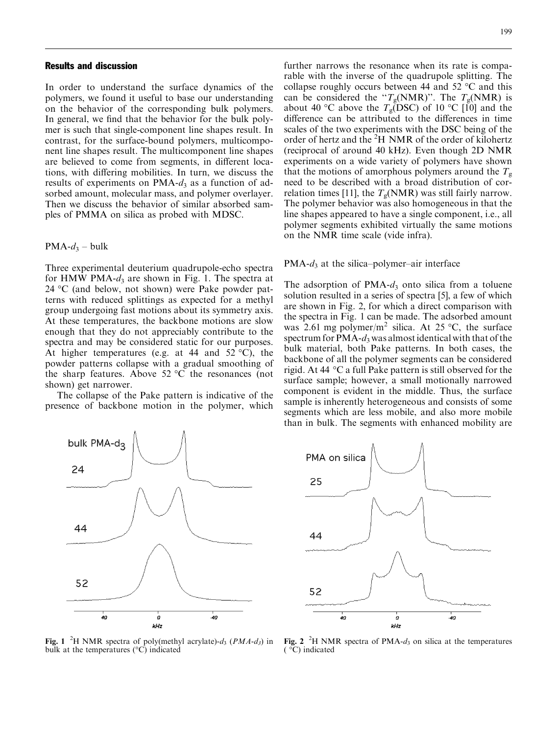#### Results and discussion

In order to understand the surface dynamics of the polymers, we found it useful to base our understanding on the behavior of the corresponding bulk polymers. In general, we find that the behavior for the bulk polymer is such that single-component line shapes result. In contrast, for the surface-bound polymers, multicomponent line shapes result. The multicomponent line shapes are believed to come from segments, in different locations, with differing mobilities. In turn, we discuss the results of experiments on PMA- $d_3$  as a function of adsorbed amount, molecular mass, and polymer overlayer. Then we discuss the behavior of similar absorbed samples of PMMA on silica as probed with MDSC.

#### $PMA-d_3 - bulk$

Three experimental deuterium quadrupole-echo spectra for HMW PMA- $d_3$  are shown in Fig. 1. The spectra at 24 °C (and below, not shown) were Pake powder patterns with reduced splittings as expected for a methyl group undergoing fast motions about its symmetry axis. At these temperatures, the backbone motions are slow enough that they do not appreciably contribute to the spectra and may be considered static for our purposes. At higher temperatures (e.g. at 44 and 52  $^{\circ}$ C), the powder patterns collapse with a gradual smoothing of the sharp features. Above  $52 °C$  the resonances (not shown) get narrower.

The collapse of the Pake pattern is indicative of the presence of backbone motion in the polymer, which



Fig. 1 <sup>2</sup>H NMR spectra of poly(methyl acrylate)- $d_3$  (*PMA-d<sub>3</sub>*) in bulk at the temperatures  $(°C)$  indicated

further narrows the resonance when its rate is comparable with the inverse of the quadrupole splitting. The collapse roughly occurs between 44 and 52  $\mathrm{^{\circ}C}$  and this can be considered the " $T_g(NMR)$ ". The  $T_g(NMR)$  is about 40 °C above the  $T_{\rm g}({\rm DSC})$  of 10 °C [10] and the difference can be attributed to the differences in time scales of the two experiments with the DSC being of the order of hertz and the <sup>2</sup>H NMR of the order of kilohertz (reciprocal of around 40 kHz). Even though 2D NMR experiments on a wide variety of polymers have shown that the motions of amorphous polymers around the  $T_{\rm g}$ need to be described with a broad distribution of correlation times [11], the  $T<sub>g</sub>(NMR)$  was still fairly narrow. The polymer behavior was also homogeneous in that the line shapes appeared to have a single component, i.e., all polymer segments exhibited virtually the same motions on the NMR time scale (vide infra).

#### $PMA-d_3$  at the silica–polymer–air interface

The adsorption of  $PMA-d_3$  onto silica from a toluene solution resulted in a series of spectra [5], a few of which are shown in Fig. 2, for which a direct comparison with the spectra in Fig. 1 can be made. The adsorbed amount was 2.61 mg polymer/m<sup>2</sup> silica. At 25 °C, the surface spectrum for  $PMA-d_3$  was almost identical with that of the bulk material, both Pake patterns. In both cases, the backbone of all the polymer segments can be considered rigid. At 44  $\degree$ C a full Pake pattern is still observed for the surface sample; however, a small motionally narrowed component is evident in the middle. Thus, the surface sample is inherently heterogeneous and consists of some segments which are less mobile, and also more mobile than in bulk. The segments with enhanced mobility are



Fig. 2 <sup>2</sup>H NMR spectra of PMA- $d_3$  on silica at the temperatures ( °C) indicated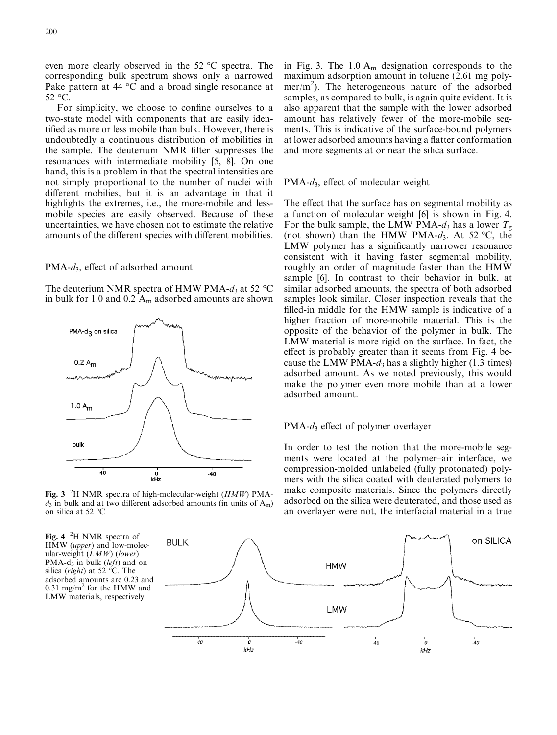even more clearly observed in the  $52 \text{ °C}$  spectra. The corresponding bulk spectrum shows only a narrowed Pake pattern at 44  $\degree$ C and a broad single resonance at  $52$  °C.

For simplicity, we choose to confine ourselves to a two-state model with components that are easily identified as more or less mobile than bulk. However, there is undoubtedly a continuous distribution of mobilities in the sample. The deuterium NMR filter suppresses the resonances with intermediate mobility [5, 8]. On one hand, this is a problem in that the spectral intensities are not simply proportional to the number of nuclei with different mobilies, but it is an advantage in that it highlights the extremes, i.e., the more-mobile and lessmobile species are easily observed. Because of these uncertainties, we have chosen not to estimate the relative amounts of the different species with different mobilities.

 $PMA-d_3$ , effect of adsorbed amount

The deuterium NMR spectra of HMW PMA- $d_3$  at 52 °C in bulk for 1.0 and 0.2  $A_m$  adsorbed amounts are shown



Fig. 3  ${}^{2}$ H NMR spectra of high-molecular-weight (HMW) PMA $d_3$  in bulk and at two different adsorbed amounts (in units of A<sub>m</sub>) on silica at 52 °C

Fig. 4  $^{2}$ H NMR spectra of HMW (upper) and low-molecular-weight  $(LMW)$  (lower) PMA-d<sub>3</sub> in bulk (*left*) and on silica (*right*) at 52 °C. The adsorbed amounts are 0.23 and 0.31 mg/m<sup>2</sup> for the HMW and LMW materials, respectively



#### $PMA-d_3$ , effect of molecular weight

The effect that the surface has on segmental mobility as a function of molecular weight [6] is shown in Fig. 4. For the bulk sample, the LMW PMA- $d_3$  has a lower  $T_g$ (not shown) than the HMW PMA- $d_3$ . At 52 °C, the LMW polymer has a significantly narrower resonance consistent with it having faster segmental mobility, roughly an order of magnitude faster than the HMW sample [6]. In contrast to their behavior in bulk, at similar adsorbed amounts, the spectra of both adsorbed samples look similar. Closer inspection reveals that the filled-in middle for the HMW sample is indicative of a higher fraction of more-mobile material. This is the opposite of the behavior of the polymer in bulk. The LMW material is more rigid on the surface. In fact, the effect is probably greater than it seems from Fig. 4 because the LMW PMA- $d_3$  has a slightly higher (1.3 times) adsorbed amount. As we noted previously, this would make the polymer even more mobile than at a lower adsorbed amount.

#### $PMA-d_3$  effect of polymer overlayer

In order to test the notion that the more-mobile segments were located at the polymer–air interface, we compression-molded unlabeled (fully protonated) polymers with the silica coated with deuterated polymers to make composite materials. Since the polymers directly adsorbed on the silica were deuterated, and those used as an overlayer were not, the interfacial material in a true

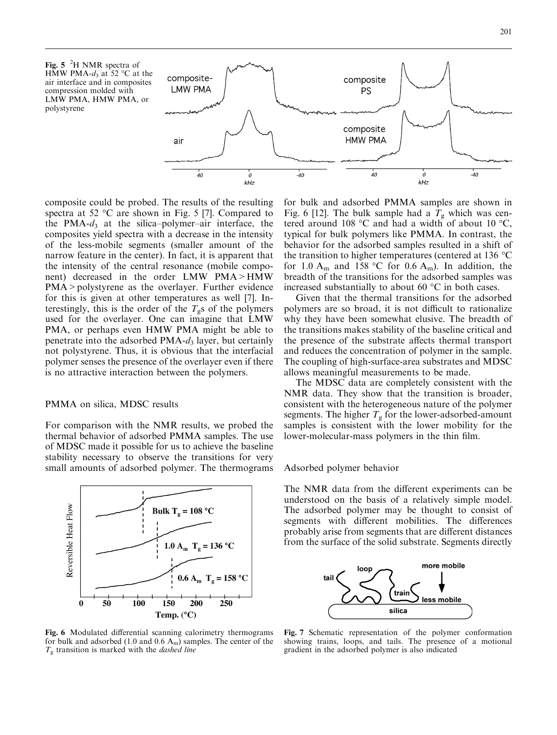201

Fig. 5  ${}^{2}$ H NMR spectra of HMW PMA- $d_3$  at 52 °C at the air interface and in composites compression molded with LMW PMA, HMW PMA, or polystyrene



composite could be probed. The results of the resulting spectra at 52  $\mathrm{^{\circ}C}$  are shown in Fig. 5 [7]. Compared to the PMA- $d_3$  at the silica–polymer–air interface, the composites yield spectra with a decrease in the intensity of the less-mobile segments (smaller amount of the narrow feature in the center). In fact, it is apparent that the intensity of the central resonance (mobile component) decreased in the order LMW PMA>HMW PMA > polystyrene as the overlayer. Further evidence for this is given at other temperatures as well [7]. Interestingly, this is the order of the  $T_g$ s of the polymers used for the overlayer. One can imagine that LMW PMA, or perhaps even HMW PMA might be able to penetrate into the adsorbed  $PMA-d_3$  layer, but certainly not polystyrene. Thus, it is obvious that the interfacial polymer senses the presence of the overlayer even if there is no attractive interaction between the polymers.

## PMMA on silica, MDSC results

For comparison with the NMR results, we probed the thermal behavior of adsorbed PMMA samples. The use of MDSC made it possible for us to achieve the baseline stability necessary to observe the transitions for very small amounts of adsorbed polymer. The thermograms



Fig. 6 Modulated differential scanning calorimetry thermograms for bulk and adsorbed (1.0 and 0.6  $A<sub>m</sub>$ ) samples. The center of the  $T_{\rm g}$  transition is marked with the *dashed line* 

for bulk and adsorbed PMMA samples are shown in Fig. 6 [12]. The bulk sample had a  $T<sub>g</sub>$  which was centered around 108 °C and had a width of about 10 °C, typical for bulk polymers like PMMA. In contrast, the behavior for the adsorbed samples resulted in a shift of the transition to higher temperatures (centered at 136  $\degree$ C for 1.0  $A_m$  and 158 °C for 0.6  $A_m$ ). In addition, the breadth of the transitions for the adsorbed samples was increased substantially to about 60  $\mathrm{^{\circ}C}$  in both cases.

Given that the thermal transitions for the adsorbed polymers are so broad, it is not difficult to rationalize why they have been somewhat elusive. The breadth of the transitions makes stability of the baseline critical and the presence of the substrate affects thermal transport and reduces the concentration of polymer in the sample. The coupling of high-surface-area substrates and MDSC allows meaningful measurements to be made.

The MDSC data are completely consistent with the NMR data. They show that the transition is broader, consistent with the heterogeneous nature of the polymer segments. The higher  $T_g$  for the lower-adsorbed-amount samples is consistent with the lower mobility for the lower-molecular-mass polymers in the thin film.

#### Adsorbed polymer behavior

The NMR data from the different experiments can be understood on the basis of a relatively simple model. The adsorbed polymer may be thought to consist of segments with different mobilities. The differences probably arise from segments that are different distances from the surface of the solid substrate. Segments directly



Fig. 7 Schematic representation of the polymer conformation showing trains, loops, and tails. The presence of a motional gradient in the adsorbed polymer is also indicated